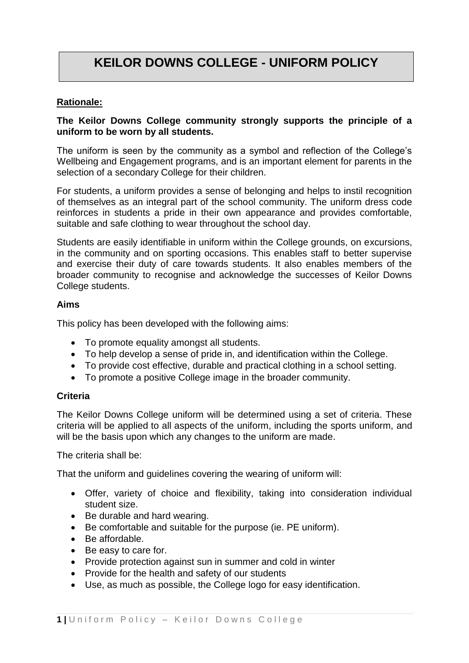# **KEILOR DOWNS COLLEGE - UNIFORM POLICY**

# **Rationale:**

# **The Keilor Downs College community strongly supports the principle of a uniform to be worn by all students.**

The uniform is seen by the community as a symbol and reflection of the College's Wellbeing and Engagement programs, and is an important element for parents in the selection of a secondary College for their children.

For students, a uniform provides a sense of belonging and helps to instil recognition of themselves as an integral part of the school community. The uniform dress code reinforces in students a pride in their own appearance and provides comfortable, suitable and safe clothing to wear throughout the school day.

Students are easily identifiable in uniform within the College grounds, on excursions, in the community and on sporting occasions. This enables staff to better supervise and exercise their duty of care towards students. It also enables members of the broader community to recognise and acknowledge the successes of Keilor Downs College students.

#### **Aims**

This policy has been developed with the following aims:

- To promote equality amongst all students.
- To help develop a sense of pride in, and identification within the College.
- To provide cost effective, durable and practical clothing in a school setting.
- To promote a positive College image in the broader community.

#### **Criteria**

The Keilor Downs College uniform will be determined using a set of criteria. These criteria will be applied to all aspects of the uniform, including the sports uniform, and will be the basis upon which any changes to the uniform are made.

The criteria shall be:

That the uniform and guidelines covering the wearing of uniform will:

- Offer, variety of choice and flexibility, taking into consideration individual student size.
- Be durable and hard wearing.
- Be comfortable and suitable for the purpose (ie. PE uniform).
- Be affordable.
- Be easy to care for.
- Provide protection against sun in summer and cold in winter
- Provide for the health and safety of our students
- Use, as much as possible, the College logo for easy identification.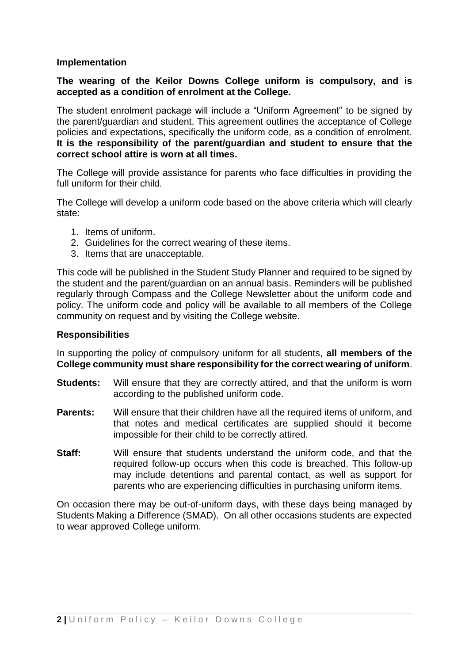#### **Implementation**

## **The wearing of the Keilor Downs College uniform is compulsory, and is accepted as a condition of enrolment at the College.**

The student enrolment package will include a "Uniform Agreement" to be signed by the parent/guardian and student. This agreement outlines the acceptance of College policies and expectations, specifically the uniform code, as a condition of enrolment. **It is the responsibility of the parent/guardian and student to ensure that the correct school attire is worn at all times.**

The College will provide assistance for parents who face difficulties in providing the full uniform for their child.

The College will develop a uniform code based on the above criteria which will clearly state:

- 1. Items of uniform.
- 2. Guidelines for the correct wearing of these items.
- 3. Items that are unacceptable.

This code will be published in the Student Study Planner and required to be signed by the student and the parent/guardian on an annual basis. Reminders will be published regularly through Compass and the College Newsletter about the uniform code and policy. The uniform code and policy will be available to all members of the College community on request and by visiting the College website.

#### **Responsibilities**

In supporting the policy of compulsory uniform for all students, **all members of the College community must share responsibility for the correct wearing of uniform**.

- **Students:** Will ensure that they are correctly attired, and that the uniform is worn according to the published uniform code.
- **Parents:** Will ensure that their children have all the required items of uniform, and that notes and medical certificates are supplied should it become impossible for their child to be correctly attired.
- **Staff:** Will ensure that students understand the uniform code, and that the required follow-up occurs when this code is breached. This follow-up may include detentions and parental contact, as well as support for parents who are experiencing difficulties in purchasing uniform items.

On occasion there may be out-of-uniform days, with these days being managed by Students Making a Difference (SMAD). On all other occasions students are expected to wear approved College uniform.